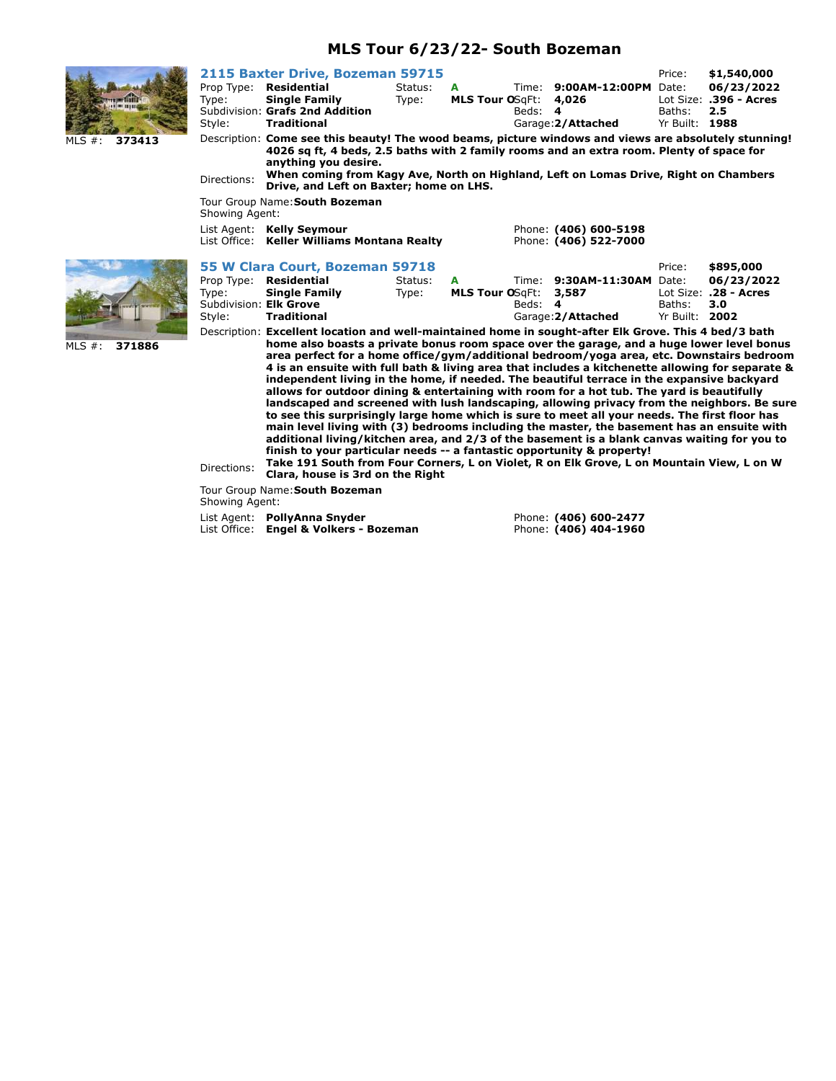## **MLS Tour 6/23/22- South Bozeman**



MLS #: **371886**

|                                                         | 2115 Baxter Drive, Bozeman 59715                                                                                                                                                                                                                                                                                                                                                                                                                                                                                                                                                                                                                                                                                                                                                                                                                                                                                                                                                                                                                                                                                                                                                                       |                  |                             |         |                                                           | Price:                            | \$1,540,000                                 |
|---------------------------------------------------------|--------------------------------------------------------------------------------------------------------------------------------------------------------------------------------------------------------------------------------------------------------------------------------------------------------------------------------------------------------------------------------------------------------------------------------------------------------------------------------------------------------------------------------------------------------------------------------------------------------------------------------------------------------------------------------------------------------------------------------------------------------------------------------------------------------------------------------------------------------------------------------------------------------------------------------------------------------------------------------------------------------------------------------------------------------------------------------------------------------------------------------------------------------------------------------------------------------|------------------|-----------------------------|---------|-----------------------------------------------------------|-----------------------------------|---------------------------------------------|
| Prop Type:<br>Type:<br>Style:                           | Residential<br><b>Single Family</b><br>Subdivision: Grafs 2nd Addition<br><b>Traditional</b>                                                                                                                                                                                                                                                                                                                                                                                                                                                                                                                                                                                                                                                                                                                                                                                                                                                                                                                                                                                                                                                                                                           | Status:<br>Type: | A<br><b>MLS Tour OSgFt:</b> | Beds: 4 | Time: 9:00AM-12:00PM Date:<br>4,026<br>Garage: 2/Attached | Baths:<br>Yr Built: 1988          | 06/23/2022<br>Lot Size: .396 - Acres<br>2.5 |
| Directions:                                             | Description: Come see this beauty! The wood beams, picture windows and views are absolutely stunning!<br>4026 sq ft, 4 beds, 2.5 baths with 2 family rooms and an extra room. Plenty of space for<br>anything you desire.<br>When coming from Kagy Ave, North on Highland, Left on Lomas Drive, Right on Chambers<br>Drive, and Left on Baxter; home on LHS.                                                                                                                                                                                                                                                                                                                                                                                                                                                                                                                                                                                                                                                                                                                                                                                                                                           |                  |                             |         |                                                           |                                   |                                             |
| Showing Agent:                                          | Tour Group Name: South Bozeman                                                                                                                                                                                                                                                                                                                                                                                                                                                                                                                                                                                                                                                                                                                                                                                                                                                                                                                                                                                                                                                                                                                                                                         |                  |                             |         |                                                           |                                   |                                             |
|                                                         | List Agent: Kelly Seymour<br>List Office: Keller Williams Montana Realty                                                                                                                                                                                                                                                                                                                                                                                                                                                                                                                                                                                                                                                                                                                                                                                                                                                                                                                                                                                                                                                                                                                               |                  |                             |         | Phone: (406) 600-5198<br>Phone: (406) 522-7000            |                                   |                                             |
|                                                         | 55 W Clara Court, Bozeman 59718                                                                                                                                                                                                                                                                                                                                                                                                                                                                                                                                                                                                                                                                                                                                                                                                                                                                                                                                                                                                                                                                                                                                                                        |                  |                             |         |                                                           | Price:                            | \$895,000                                   |
| Prop Type:<br>Type:<br>Subdivision: Elk Grove<br>Style: | Residential<br><b>Single Family</b><br><b>Traditional</b>                                                                                                                                                                                                                                                                                                                                                                                                                                                                                                                                                                                                                                                                                                                                                                                                                                                                                                                                                                                                                                                                                                                                              | Status:<br>Type: | A<br><b>MLS Tour OSgFt:</b> | Beds: 4 | Time: 9:30AM-11:30AM<br>3,587<br>Garage: 2/Attached       | Date:<br>Baths:<br>Yr Built: 2002 | 06/23/2022<br>Lot Size: .28 - Acres<br>3.0  |
| Directions:                                             | Description: Excellent location and well-maintained home in sought-after Elk Grove. This 4 bed/3 bath<br>home also boasts a private bonus room space over the garage, and a huge lower level bonus<br>area perfect for a home office/gym/additional bedroom/yoga area, etc. Downstairs bedroom<br>4 is an ensuite with full bath & living area that includes a kitchenette allowing for separate &<br>independent living in the home, if needed. The beautiful terrace in the expansive backyard<br>allows for outdoor dining & entertaining with room for a hot tub. The yard is beautifully<br>landscaped and screened with lush landscaping, allowing privacy from the neighbors. Be sure<br>to see this surprisingly large home which is sure to meet all your needs. The first floor has<br>main level living with (3) bedrooms including the master, the basement has an ensuite with<br>additional living/kitchen area, and 2/3 of the basement is a blank canvas waiting for you to<br>finish to your particular needs -- a fantastic opportunity & property!<br>Take 191 South from Four Corners, L on Violet, R on Elk Grove, L on Mountain View, L on W<br>Clara, house is 3rd on the Right |                  |                             |         |                                                           |                                   |                                             |

Tour Group Name:**South Bozeman**

Showing Agent:

List Agent: **PollyAnna Snyder Phone: (406) 600-2477** List Office: **Engel & Volkers - Bozeman** Phone: **(406) 404-1960**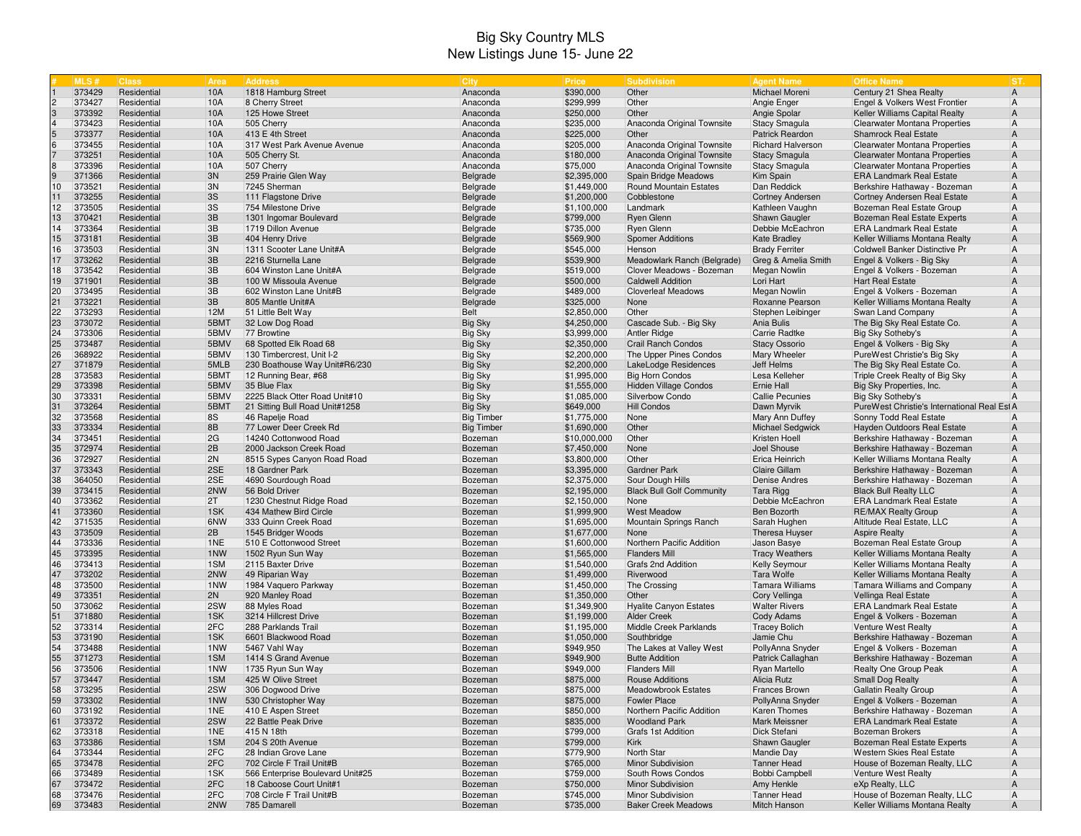## Big Sky Country MLS New Listings June 15- June 22

|                | MLS#             | <b>Class</b>               | Area       | <b>Address</b>                                              | City                 | <b>Price</b>               | <b>Subdivision</b>                           | <b>Agent Name</b>                   | <b>Office Name</b>                                              | IST                              |
|----------------|------------------|----------------------------|------------|-------------------------------------------------------------|----------------------|----------------------------|----------------------------------------------|-------------------------------------|-----------------------------------------------------------------|----------------------------------|
|                | 373429           | Residential                | 10A        | 1818 Hamburg Street                                         | Anaconda             | \$390,000                  | Other                                        | Michael Moreni                      | Century 21 Shea Realty                                          | $\overline{A}$                   |
| $\overline{c}$ | 373427           | Residential                | 10A        | 8 Cherry Street                                             | Anaconda             | \$299,999                  | Other                                        | Angie Enger                         | Engel & Volkers West Frontier                                   | $\overline{A}$                   |
| $\sqrt{3}$     | 373392           | Residential                | 10A        | 125 Howe Street                                             | Anaconda             | \$250,000                  | Other                                        | Angie Spolar                        | Keller Williams Capital Realty                                  | $\mathsf{A}$                     |
|                | 373423           | Residential                | 10A        | 505 Cherry                                                  | Anaconda             | \$235,000                  | Anaconda Original Townsite                   | <b>Stacy Smagula</b>                | Clearwater Montana Properties                                   | $\overline{A}$                   |
|                | 373377           | Residential                | 10A        | 413 E 4th Street                                            | Anaconda             | \$225,000                  | Other                                        | Patrick Reardon                     | <b>Shamrock Real Estate</b>                                     | $\overline{A}$                   |
| $\,$ 6         | 373455           | Residential                | 10A        | 317 West Park Avenue Avenue                                 | Anaconda             | \$205,000                  | Anaconda Original Townsite                   | <b>Richard Halverson</b>            | Clearwater Montana Properties                                   | $\overline{A}$                   |
|                | 373251           | Residential                | 10A        | 505 Cherry St.                                              | Anaconda             | \$180,000                  | Anaconda Original Townsite                   | <b>Stacy Smagula</b>                | <b>Clearwater Montana Properties</b>                            | $\overline{A}$                   |
| 8              | 373396           | Residential                | 10A        | 507 Cherry                                                  | Anaconda             | \$75,000                   | Anaconda Original Townsite                   | <b>Stacy Smagula</b>                | <b>Clearwater Montana Properties</b>                            | $\overline{A}$                   |
| 9              | 371366           | Residential                | 3N         | 259 Prairie Glen Way                                        | Belgrade             | \$2,395,000                | Spain Bridge Meadows                         | Kim Spain                           | <b>ERA Landmark Real Estate</b>                                 | $\overline{A}$                   |
| 10             | 373521           | Residential                | 3N         | 7245 Sherman                                                | Belgrade             | \$1,449,000                | Round Mountain Estates                       | Dan Reddick                         | Berkshire Hathaway - Bozeman                                    | $\overline{A}$                   |
| 11             | 373255           | Residential                | 3S         | 111 Flagstone Drive                                         | Belgrade             | \$1,200,000                | Cobblestone                                  | Cortney Andersen                    | Cortney Andersen Real Estate                                    | $\overline{A}$                   |
| 12<br>13       | 373505<br>370421 | Residential<br>Residential | 3S<br>3B   | 754 Milestone Drive<br>1301 Ingomar Boulevard               | Belgrade<br>Belgrade | \$1,100,000<br>\$799,000   | Landmark<br>Ryen Glenn                       | Kathleen Vaughn<br>Shawn Gaugler    | Bozeman Real Estate Group<br>Bozeman Real Estate Experts        | $\overline{A}$<br>$\overline{A}$ |
| 14             | 373364           | Residential                | 3B         | 1719 Dillon Avenue                                          | Belgrade             | \$735,000                  | <b>Ryen Glenn</b>                            | Debbie McEachron                    | <b>ERA Landmark Real Estate</b>                                 | $\overline{A}$                   |
| 15             | 373181           | Residential                | 3B         | 404 Henry Drive                                             | Belgrade             | \$569,900                  | <b>Spomer Additions</b>                      | <b>Kate Bradley</b>                 | Keller Williams Montana Realty                                  | $\overline{A}$                   |
| 16             | 373503           | Residential                | 3N         | 1311 Scooter Lane Unit#A                                    | Belgrade             | \$545,000                  | Henson                                       | <b>Brady Ferriter</b>               | Coldwell Banker Distinctive Pr                                  | $\overline{A}$                   |
| 17             | 373262           | Residential                | 3B         | 2216 Sturnella Lane                                         | Belgrade             | \$539,900                  | Meadowlark Ranch (Belgrade)                  | Greg & Amelia Smith                 | Engel & Volkers - Big Sky                                       | $\overline{A}$                   |
| 18             | 373542           | Residential                | 3B         | 604 Winston Lane Unit#A                                     | Belgrade             | \$519,000                  | Clover Meadows - Bozeman                     | Megan Nowlin                        | Engel & Volkers - Bozeman                                       | $\overline{A}$                   |
| 19             | 371901           | Residential                | 3B         | 100 W Missoula Avenue                                       | Belgrade             | \$500,000                  | <b>Caldwell Addition</b>                     | Lori Hart                           | Hart Real Estate                                                | $\overline{A}$                   |
| 20             | 373495           | Residential                | 3B         | 602 Winston Lane Unit#B                                     | Belgrade             | \$489,000                  | <b>Cloverleaf Meadows</b>                    | Megan Nowlin                        | Engel & Volkers - Bozeman                                       | $\mathsf{A}$                     |
| $21$           | 373221           | Residential                | 3B         | 805 Mantle Unit#A                                           | Belgrade             | \$325,000                  | None                                         | Roxanne Pearson                     | Keller Williams Montana Realty                                  | $\overline{A}$                   |
| 22             | 373293           | Residential                | 12M        | 51 Little Belt Way                                          | <b>Belt</b>          | \$2,850,000                | Other                                        | Stephen Leibinger                   | Swan Land Company                                               | $\overline{A}$                   |
| 23             | 373072           | Residential                | 5BMT       | 32 Low Dog Road                                             | <b>Big Sky</b>       | \$4,250,000                | Cascade Sub. - Big Sky                       | Ania Bulis                          | The Big Sky Real Estate Co.                                     | $\overline{A}$                   |
| 24             | 373306           | Residential                | 5BMV       | 77 Browtine                                                 | Big Sky              | \$3,999,000                | Antler Ridge                                 | Carrie Radtke                       | Big Sky Sotheby's                                               | $\overline{A}$                   |
| 25             | 373487           | Residential                | 5BMV       | 68 Spotted Elk Road 68                                      | Big Sky              | \$2,350,000                | <b>Crail Ranch Condos</b>                    | <b>Stacy Ossorio</b>                | Engel & Volkers - Big Sky                                       | $\overline{A}$                   |
| 26             | 368922           | Residential                | 5BMV       | 130 Timbercrest, Unit I-2                                   | Big Sky              | \$2,200,000                | The Upper Pines Condos                       | Mary Wheeler                        | PureWest Christie's Big Sky                                     | $\overline{A}$                   |
| 27             | 371879           | Residential                | 5MLB       | 230 Boathouse Way Unit#R6/230                               | <b>Big Sky</b>       | \$2,200,000                | LakeLodge Residences                         | Jeff Helms                          | The Big Sky Real Estate Co.                                     | $\overline{A}$                   |
| 28             | 373583           | Residential                | 5BMT       | 12 Running Bear, #68                                        | Big Sky              | \$1,995,000                | <b>Big Horn Condos</b>                       | Lesa Kelleher                       | Triple Creek Realty of Big Sky                                  | $\overline{A}$                   |
| 29             | 373398           | Residential                | 5BMV       | 35 Blue Flax                                                | <b>Big Sky</b>       | \$1,555,000                | <b>Hidden Village Condos</b>                 | Ernie Hall                          | Big Sky Properties, Inc.                                        | $\overline{A}$                   |
| 30             | 373331           | Residential                | 5BMV       | 2225 Black Otter Road Unit#10                               | Big Sky              | \$1,085,000                | Silverbow Condo                              | Callie Pecunies                     | Big Sky Sotheby's                                               | $\overline{A}$                   |
| 31             | 373264           | Residential                | 5BMT       | 21 Sitting Bull Road Unit#1258                              | <b>Big Sky</b>       | \$649,000                  | <b>Hill Condos</b>                           | Dawn Myrvik                         | PureWest Christie's International Real Esi A                    |                                  |
| 32             | 373568           | Residential                | 8S         | 46 Rapelje Road                                             | <b>Big Timber</b>    | \$1,775,000                | None                                         | Mary Ann Duffey                     | Sonny Todd Real Estate                                          | $\overline{A}$                   |
| 33             | 373334           | Residential                | 8B         | 77 Lower Deer Creek Rd                                      | <b>Big Timber</b>    | \$1,690,000                | Other                                        | <b>Michael Sedgwick</b>             | Hayden Outdoors Real Estate                                     | $\overline{A}$                   |
| 34             | 373451           | Residential                | 2G         | 14240 Cottonwood Road                                       | Bozeman              | \$10,000,000               | Other                                        | Kristen Hoell                       | Berkshire Hathaway - Bozeman                                    | $\overline{A}$                   |
| 35             | 372974           | Residential                | 2B         | 2000 Jackson Creek Road                                     | Bozeman              | \$7,450,000                | None                                         | Joel Shouse                         | Berkshire Hathaway - Bozeman                                    | $\overline{A}$                   |
| 36             | 372927           | Residential                | 2N         | 8515 Sypes Canyon Road Road                                 | Bozeman              | \$3,800,000                | Other                                        | Erica Heinrich                      | Keller Williams Montana Realty                                  | $\mathsf{A}$                     |
| 37             | 373343           | Residential                | 2SE        | 18 Gardner Park                                             | Bozeman              | \$3,395,000                | <b>Gardner Park</b>                          | Claire Gillam                       | Berkshire Hathaway - Bozeman                                    | $\overline{A}$                   |
| 38             | 364050           | Residential                | 2SE        | 4690 Sourdough Road                                         | Bozeman              | \$2,375,000                | Sour Dough Hills                             | Denise Andres                       | Berkshire Hathaway - Bozeman                                    | $\overline{A}$                   |
| 39<br>40       | 373415<br>373362 | Residential<br>Residential | 2NW<br>2T  | 56 Bold Driver<br>1230 Chestnut Ridge Road                  | Bozeman              | \$2,195,000<br>\$2,150,000 | <b>Black Bull Golf Community</b><br>None     | Tara Rigg<br>Debbie McEachron       | <b>Black Bull Realty LLC</b><br><b>ERA Landmark Real Estate</b> | $\overline{A}$<br>$\overline{A}$ |
| 41             | 373360           | Residential                | 1SK        | 434 Mathew Bird Circle                                      | Bozeman              | \$1,999,900                |                                              | Ben Bozorth                         | <b>RE/MAX Realty Group</b>                                      | $\overline{A}$                   |
| 42             | 371535           | Residential                | 6NW        | 333 Quinn Creek Road                                        | Bozeman<br>Bozeman   | \$1,695,000                | <b>West Meadow</b><br>Mountain Springs Ranch | Sarah Hughen                        | Altitude Real Estate, LLC                                       | $\overline{A}$                   |
| 43             | 373509           | Residential                | 2B         | 1545 Bridger Woods                                          | Bozeman              | \$1,677,000                | None                                         | Theresa Huyser                      | <b>Aspire Realty</b>                                            | $\overline{A}$                   |
| 44             | 373336           | Residential                | 1NE        | 510 E Cottonwood Street                                     | Bozeman              | \$1,600,000                | Northern Pacific Addition                    | Jason Basye                         | Bozeman Real Estate Group                                       | $\overline{A}$                   |
| 45             | 373395           | Residential                | 1NW        | 1502 Ryun Sun Way                                           | Bozeman              | \$1,565,000                | <b>Flanders Mill</b>                         | <b>Tracy Weathers</b>               | Keller Williams Montana Realty                                  | $\overline{A}$                   |
| 46             | 373413           | Residential                | 1SM        | 2115 Baxter Drive                                           | Bozeman              | \$1,540,000                | Grafs 2nd Addition                           | <b>Kelly Seymour</b>                | Keller Williams Montana Realty                                  | $\overline{A}$                   |
| 47             | 373202           | Residential                | 2NW        | 49 Riparian Way                                             | Bozeman              | \$1,499,000                | Riverwood                                    | Tara Wolfe                          | Keller Williams Montana Realty                                  | $\overline{A}$                   |
| 48             | 373500           | Residential                | 1NW        | 1984 Vaquero Parkway                                        | Bozeman              | \$1,450,000                | The Crossing                                 | <b>Tamara Williams</b>              | <b>Tamara Williams and Company</b>                              | $\overline{A}$                   |
| 49             | 373351           | Residential                | 2N         | 920 Manley Road                                             | Bozeman              | \$1,350,000                | Other                                        | Cory Vellinga                       | Vellinga Real Estate                                            | $\overline{A}$                   |
| 50             | 373062           | Residential                | 2SW        | 88 Myles Road                                               | Bozeman              | \$1,349,900                | <b>Hyalite Canyon Estates</b>                | <b>Walter Rivers</b>                | <b>ERA Landmark Real Estate</b>                                 | $\overline{A}$                   |
| 51             | 371880           | Residential                | 1SK        | 3214 Hillcrest Drive                                        | Bozeman              | \$1,199,000                | <b>Alder Creek</b>                           | Cody Adams                          | Engel & Volkers - Bozeman                                       | $\overline{A}$                   |
| 52             | 373314           | Residential                | 2FC        | 288 Parklands Trail                                         | Bozeman              | \$1,195,000                | Middle Creek Parklands                       | <b>Tracey Bolich</b>                | Venture West Realty                                             | $\overline{A}$                   |
| 53             | 373190           | Residential                | 1SK        | 6601 Blackwood Road                                         | Bozeman              | \$1,050,000                | Southbridge                                  | Jamie Chu                           | Berkshire Hathaway - Bozeman                                    | $\mathsf{A}$                     |
| 54             | 373488           | Residential                | 1NW        | 5467 Vahl Way                                               | Bozeman              | \$949,950                  | The Lakes at Valley West                     | PollyAnna Snyder                    | Engel & Volkers - Bozeman                                       | $\overline{A}$                   |
| 55             | 371273           | Residential                | 1SM        | 1414 S Grand Avenue                                         | Bozeman              | \$949,900                  | <b>Butte Addition</b>                        | Patrick Callaghan                   | Berkshire Hathaway - Bozeman                                    | $\overline{A}$                   |
| 56             | 373506           | Residential                | 1NW        | 1735 Ryun Sun Way                                           | Bozeman              | \$949,000                  | <b>Flanders Mill</b>                         | <b>Ryan Martello</b>                | Realty One Group Peak                                           | $\overline{A}$                   |
| 57             | 373447           | Residential                | 1SM        | 425 W Olive Street                                          | Bozeman              | \$875,000                  | <b>Rouse Additions</b>                       | Alicia Rutz                         | <b>Small Dog Realty</b>                                         | $\overline{A}$                   |
| 58             | 373295           | Residential                | 2SW        | 306 Dogwood Drive                                           | Bozeman              | \$875,000                  | Meadowbrook Estates                          | Frances Brown                       | <b>Gallatin Realty Group</b>                                    | $\mathsf{A}$                     |
| 59             | 373302           | Residential                | 1NW        | 530 Christopher Way                                         | Bozeman              | \$875,000                  | <b>Fowler Place</b>                          | PollyAnna Snyder                    | Engel & Volkers - Bozeman                                       | $\overline{A}$                   |
| 60             | 373192           | Residential                | 1NE        | 410 E Aspen Street                                          | Bozeman              | \$850,000                  | Northern Pacific Addition                    | <b>Karen Thomes</b>                 | Berkshire Hathaway - Bozeman                                    | $\mathsf{A}$                     |
| 61             | 373372           | Residential                | 2SW        | 22 Battle Peak Drive                                        | Bozeman              | \$835,000                  | <b>Woodland Park</b>                         | Mark Meissner                       | <b>ERA Landmark Real Estate</b>                                 | $\mathsf{A}$                     |
| 62             | 373318           | Residential                | 1NE        | 415 N 18th                                                  | Bozeman              | \$799,000                  | Grafs 1st Addition                           | Dick Stefani                        | <b>Bozeman Brokers</b>                                          | $\overline{A}$                   |
| 63             | 373386           | Residential                | 1SM        | 204 S 20th Avenue                                           | Bozeman              | \$799,000                  | Kirk                                         | Shawn Gaugler                       | Bozeman Real Estate Experts                                     | $\overline{A}$                   |
| 64             | 373344           | Residential<br>Residential | 2FC        | 28 Indian Grove Lane                                        | Bozeman              | \$779,900                  | North Star                                   | <b>Mandie Day</b>                   | Western Skies Real Estate                                       | $\overline{A}$                   |
| 65             | 373478           |                            | 2FC        | 702 Circle F Trail Unit#B                                   | Bozeman              | \$765,000                  | Minor Subdivision                            | <b>Tanner Head</b>                  | House of Bozeman Realty, LLC                                    | $\mathsf{A}$                     |
| 66<br>67       | 373489<br>373472 | Residential<br>Residential | 1SK<br>2FC | 566 Enterprise Boulevard Unit#25<br>18 Caboose Court Unit#1 | Bozeman<br>Bozeman   | \$759,000                  | South Rows Condos<br>Minor Subdivision       | <b>Bobbi Campbell</b><br>Amy Henkle | Venture West Realty<br>eXp Realty, LLC                          | $\overline{A}$<br>$\mathsf{A}$   |
| 68             | 373476           | Residential                | 2FC        | 708 Circle F Trail Unit#B                                   | Bozeman              | \$750,000<br>\$745,000     | Minor Subdivision                            | <b>Tanner Head</b>                  | House of Bozeman Realty, LLC                                    | $\mathsf{A}$                     |
| 69             | 373483           | Residential                | 2NW        | 785 Damarell                                                | Bozeman              | \$735,000                  | <b>Baker Creek Meadows</b>                   | Mitch Hanson                        | Keller Williams Montana Realty                                  | $\mathsf{A}$                     |
|                |                  |                            |            |                                                             |                      |                            |                                              |                                     |                                                                 |                                  |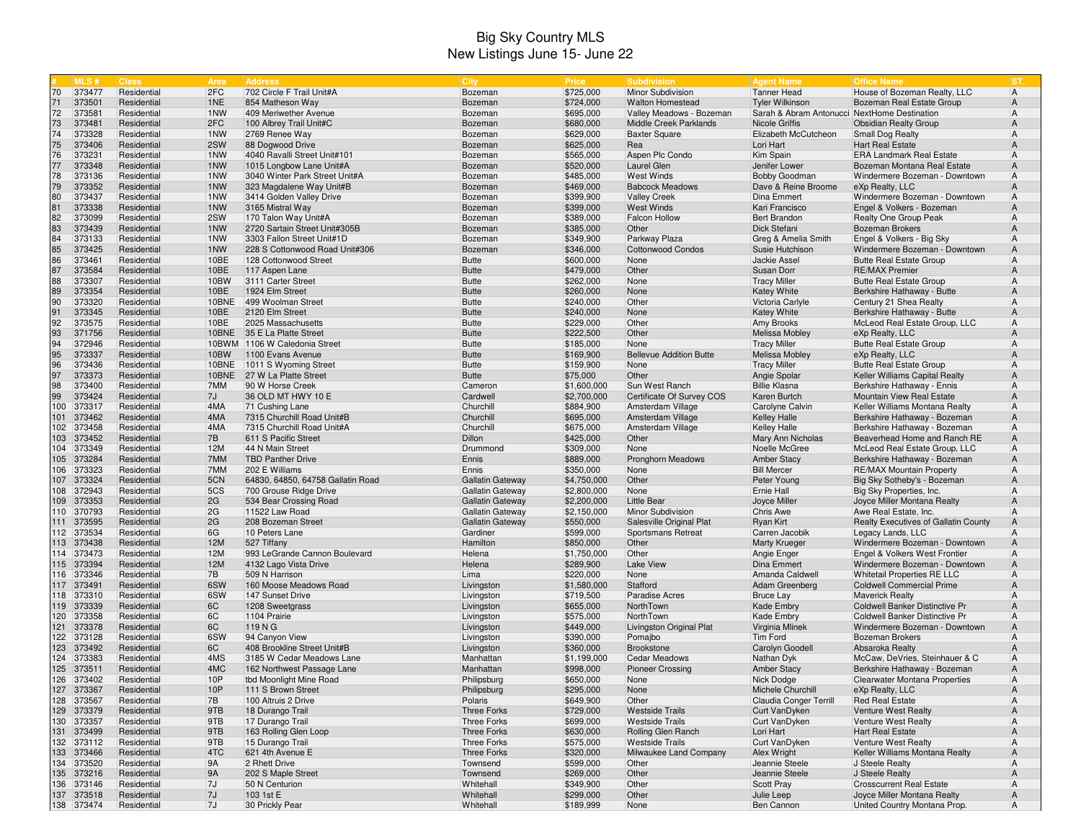## Big Sky Country MLS New Listings June 15- June 22

|          | <b>MLS#</b>              | <b>Class</b>               | Area       | Address                                                     | <b>City</b>             | Price                    | Subdivision                     | <b>Agent Name</b>                            | <b>Office Name</b>                                             | IST.                             |
|----------|--------------------------|----------------------------|------------|-------------------------------------------------------------|-------------------------|--------------------------|---------------------------------|----------------------------------------------|----------------------------------------------------------------|----------------------------------|
| 70       | 373477                   | Residential                | 2FC        | 702 Circle F Trail Unit#A                                   | Bozeman                 | \$725,000                | Minor Subdivision               | <b>Tanner Head</b>                           | House of Bozeman Realty, LLC                                   | $\overline{A}$                   |
| 71       | 373501                   | Residential                | 1NE        | 854 Matheson Way                                            | Bozeman                 | \$724,000                | <b>Walton Homestead</b>         | <b>Tyler Wilkinson</b>                       | Bozeman Real Estate Group                                      | $\overline{A}$                   |
| 72       | 373581                   | Residential                | 1NW        | 409 Meriwether Avenue                                       | Bozeman                 | \$695,000                | Valley Meadows - Bozeman        | Sarah & Abram Antonucci NextHome Destination |                                                                | $\overline{A}$                   |
| 73       | 373481                   | Residential                | 2FC        | 100 Albrey Trail Unit#C                                     | Bozeman                 | \$680,000                | Middle Creek Parklands          | <b>Nicole Griffis</b>                        | <b>Obsidian Realty Group</b>                                   | $\overline{A}$                   |
| 74       | 373328                   | Residential                | 1NW        | 2769 Renee Way                                              | Bozeman                 | \$629,000                | <b>Baxter Square</b>            | Elizabeth McCutcheon                         | <b>Small Dog Realty</b>                                        | $\overline{A}$                   |
| 75       | 373406                   | Residential                | 2SW        | 88 Dogwood Drive                                            | Bozeman                 | \$625,000                | Rea                             | Lori Hart                                    | Hart Real Estate                                               | $\overline{A}$                   |
| 76       | 373231                   | Residential                | 1NW        | 4040 Ravalli Street Unit#101                                | Bozeman                 | \$565,000                | Aspen Plc Condo                 | Kim Spain                                    | <b>ERA Landmark Real Estate</b>                                | $\overline{A}$                   |
| 77       | 373348                   | Residential                | 1NW        | 1015 Longbow Lane Unit#A                                    | Bozeman                 | \$520,000                | Laurel Glen                     | Jenifer Lower                                | Bozeman Montana Real Estate                                    | $\overline{A}$                   |
| 78       | 373136                   | Residential                | 1NW        | 3040 Winter Park Street Unit#A                              | Bozeman                 | \$485,000                | <b>West Winds</b>               | <b>Bobby Goodman</b>                         | Windermere Bozeman - Downtown                                  | $\overline{A}$                   |
| 79       | 373352                   | Residential                | 1NW        | 323 Magdalene Way Unit#B                                    | Bozeman                 | \$469,000                | <b>Babcock Meadows</b>          | Dave & Reine Broome                          | eXp Realty, LLC                                                | $\overline{A}$                   |
| 80       | 373437                   | Residential                | 1NW        | 3414 Golden Valley Drive                                    | Bozeman                 | \$399,900                | <b>Valley Creek</b>             | Dina Emmert                                  | Windermere Bozeman - Downtown                                  | A                                |
| 81       | 373338                   | Residential                | 1NW        | 3165 Mistral Way                                            | Bozeman                 | \$399,000                | <b>West Winds</b>               | Kari Francisco                               | Engel & Volkers - Bozeman                                      | $\overline{A}$                   |
| 82       | 373099                   | Residential                | 2SW        | 170 Talon Way Unit#A                                        | Bozeman                 | \$389,000                | <b>Falcon Hollow</b>            | <b>Bert Brandon</b><br>Dick Stefani          | Realty One Group Peak                                          | $\overline{A}$                   |
| 83<br>84 | 373439<br>373133         | Residential<br>Residential | 1NW<br>1NW | 2720 Sartain Street Unit#305B<br>3303 Fallon Street Unit#1D | Bozeman<br>Bozeman      | \$385,000<br>\$349,900   | Other<br>Parkway Plaza          |                                              | <b>Bozeman Brokers</b><br>Engel & Volkers - Big Sky            | $\overline{A}$<br>$\overline{A}$ |
| 85       | 373425                   | Residential                | 1NW        | 228 S Cottonwood Road Unit#306                              | Bozeman                 | \$346,000                | <b>Cottonwood Condos</b>        | Greg & Amelia Smith<br>Susie Hutchison       | Windermere Bozeman - Downtown                                  | $\overline{A}$                   |
| 86       | 373461                   | Residential                | 10BE       | 128 Cottonwood Street                                       | <b>Butte</b>            | \$600,000                | None                            | <b>Jackie Assel</b>                          | <b>Butte Real Estate Group</b>                                 | $\overline{A}$                   |
| 87       | 373584                   | Residential                | 10BE       | 117 Aspen Lane                                              | <b>Butte</b>            | \$479,000                | Other                           | Susan Dorr                                   | <b>RE/MAX Premier</b>                                          | $\overline{A}$                   |
| 88       | 373307                   | Residential                | 10BW       | 3111 Carter Street                                          | <b>Butte</b>            | \$262,000                | None                            | <b>Tracy Miller</b>                          | <b>Butte Real Estate Group</b>                                 | $\overline{A}$                   |
| 89       | 373354                   | Residential                | 10BE       | 1924 Elm Street                                             | <b>Butte</b>            | \$260,000                | None                            | <b>Katey White</b>                           | Berkshire Hathaway - Butte                                     | $\overline{A}$                   |
| 90       | 373320                   | Residential                | 10BNE      | 499 Woolman Street                                          | <b>Butte</b>            | \$240,000                | Other                           | Victoria Carlyle                             | Century 21 Shea Realty                                         | $\overline{A}$                   |
| 91       | 373345                   | Residential                | 10BE       | 2120 Elm Street                                             | <b>Butte</b>            | \$240,000                | None                            | <b>Katey White</b>                           | Berkshire Hathaway - Butte                                     | $\mathsf{A}$                     |
| 92       | 373575                   | Residential                | 10BE       | 2025 Massachusetts                                          | <b>Butte</b>            | \$229,000                | Other                           | Amy Brooks                                   | McLeod Real Estate Group, LLC                                  | $\overline{A}$                   |
| 93       | 371756                   | Residential                |            | 10BNE 35 E La Platte Street                                 | <b>Butte</b>            | \$222,500                | Other                           | <b>Melissa Mobley</b>                        | eXp Realty, LLC                                                | $\overline{A}$                   |
| 94       | 372946                   | Residential                |            | 10BWM 1106 W Caledonia Street                               | <b>Butte</b>            | \$185,000                | None                            | <b>Tracy Miller</b>                          | <b>Butte Real Estate Group</b>                                 | $\overline{A}$                   |
| 95       | 373337                   | Residential                | 10BW       | 1100 Evans Avenue                                           | <b>Butte</b>            | \$169,900                | <b>Bellevue Addition Butte</b>  | <b>Melissa Mobley</b>                        | eXp Realty, LLC                                                | $\overline{A}$                   |
| 96       | 373436                   | Residential                | 10BNE      | 1011 S Wyoming Street                                       | <b>Butte</b>            | \$159,900                | None                            | <b>Tracy Miller</b>                          | <b>Butte Real Estate Group</b>                                 | $\overline{A}$                   |
| 97       | 373373                   | Residential                | 10BNE      | 27 W La Platte Street                                       | <b>Butte</b>            | \$75,000                 | Other                           | Angie Spolar                                 | Keller Williams Capital Realty                                 | $\overline{A}$                   |
| 98       | 373400                   | Residential                | 7MM        | 90 W Horse Creek                                            | Cameron                 | \$1,600,000              | Sun West Ranch                  | <b>Billie Klasna</b>                         | Berkshire Hathaway - Ennis                                     | $\overline{A}$                   |
| 99       | 373424                   | Residential                | 7J         | 36 OLD MT HWY 10 E                                          | Cardwell                | \$2,700,000              | Certificate Of Survey COS       | Karen Burtch                                 | Mountain View Real Estate                                      | $\overline{A}$                   |
|          | 100 373317               | Residential                | 4MA        | 71 Cushing Lane                                             | Churchill               | \$884,900                | Amsterdam Village               | Carolyne Calvin                              | Keller Williams Montana Realty                                 | $\overline{A}$                   |
|          | 101 373462               | Residential                | 4MA        | 7315 Churchill Road Unit#B                                  | Churchill               | \$695,000                | Amsterdam Village               | <b>Kelley Halle</b>                          | Berkshire Hathaway - Bozeman                                   | $\overline{A}$                   |
|          | 102 373458               | Residential                | 4MA        | 7315 Churchill Road Unit#A                                  | Churchill               | \$675,000                | Amsterdam Village               | <b>Kelley Halle</b>                          | Berkshire Hathaway - Bozeman                                   | $\overline{A}$                   |
|          | 103 373452               | Residential                | 7B         | 611 S Pacific Street                                        | Dillon                  | \$425,000                | Other                           | Mary Ann Nicholas                            | Beaverhead Home and Ranch RE                                   | $\overline{A}$                   |
|          | 104 373349               | Residential                | 12M        | 44 N Main Street                                            | Drummond                | \$309,000                | None                            | Noelle McGree                                | McLeod Real Estate Group, LLC                                  | $\overline{A}$                   |
|          | 105 373284               | Residential                | 7MM        | <b>TBD Panther Drive</b>                                    | Ennis                   | \$889,000                | Pronghorn Meadows               | <b>Amber Stacy</b>                           | Berkshire Hathaway - Bozeman                                   | $\mathsf{A}$                     |
|          | 106 373323               | Residential                | 7MM        | 202 E Williams                                              | Ennis                   | \$350,000                | None                            | <b>Bill Mercer</b>                           | <b>RE/MAX Mountain Property</b>                                | $\overline{A}$                   |
|          | 107 373324               | Residential                | 5CN        | 64830, 64850, 64758 Gallatin Road                           | <b>Gallatin Gateway</b> | \$4,750,000              | Other                           | Peter Young                                  | Big Sky Sotheby's - Bozeman                                    | $\mathsf{A}$                     |
|          | 108 372943               | Residential                | 5CS        | 700 Grouse Ridge Drive                                      | Gallatin Gateway        | \$2,800,000              | None                            | Ernie Hall                                   | Big Sky Properties, Inc.                                       | $\overline{A}$                   |
|          | 109 373353               | Residential                | 2G         | 534 Bear Crossing Road                                      | <b>Gallatin Gateway</b> | \$2,200,000              | <b>Little Bear</b>              | Joyce Miller                                 | Joyce Miller Montana Realty                                    | $\overline{A}$                   |
|          | 110 370793               | Residential                | 2G         | 11522 Law Road                                              | Gallatin Gateway        | \$2,150,000              | Minor Subdivision               | <b>Chris Awe</b>                             | Awe Real Estate, Inc.                                          | $\overline{A}$                   |
|          | 111 373595               | Residential                | 2G         | 208 Bozeman Street                                          | <b>Gallatin Gateway</b> | \$550,000                | Salesville Original Plat        | <b>Ryan Kirt</b>                             | Realty Executives of Gallatin County                           | $\overline{A}$                   |
|          | 112 373534               | Residential                | 6G<br>12M  | 10 Peters Lane                                              | Gardiner<br>Hamilton    | \$599,000                | Sportsmans Retreat              | Carren Jacobik                               | Legacy Lands, LLC                                              | $\overline{A}$                   |
|          | 113 373438<br>114 373473 | Residential<br>Residential | 12M        | 527 Tiffany                                                 |                         | \$850,000                | Other<br>Other                  | <b>Marty Krueger</b>                         | Windermere Bozeman - Downtown                                  | $\overline{A}$<br>$\overline{A}$ |
|          | 115 373394               | Residential                | 12M        | 993 LeGrande Cannon Boulevard<br>4132 Lago Vista Drive      | Helena<br>Helena        | \$1,750,000<br>\$289,900 | <b>Lake View</b>                | Angie Enger<br>Dina Emmert                   | Engel & Volkers West Frontier<br>Windermere Bozeman - Downtown | $\mathsf{A}$                     |
|          | 116 373346               | Residential                | 7B         | 509 N Harrison                                              | Lima                    | \$220,000                | None                            | Amanda Caldwell                              | Whitetail Properties RE LLC                                    | $\overline{A}$                   |
|          | 117 373491               | Residential                | 6SW        | 160 Moose Meadows Road                                      | Livingston              | \$1,580,000              | Stafford                        | Adam Greenberg                               | <b>Coldwell Commercial Prime</b>                               | $\overline{A}$                   |
|          | 118 373310               | Residential                | 6SW        | 147 Sunset Drive                                            | Livingston              | \$719,500                | <b>Paradise Acres</b>           | <b>Bruce Lay</b>                             | <b>Maverick Realty</b>                                         | $\overline{A}$                   |
|          | 119 373339               | Residential                | 6C         | 1208 Sweetgrass                                             | Livingston              | \$655,000                | NorthTown                       | Kade Embry                                   | Coldwell Banker Distinctive Pr                                 | $\overline{A}$                   |
|          | 120 373358               | Residential                | 6C         | 1104 Prairie                                                | Livingston              | \$575,000                | NorthTown                       | Kade Embry                                   | Coldwell Banker Distinctive Pr                                 | $\overline{A}$                   |
|          | 121 373378               | Residential                | 6C         | 119 N G                                                     | Livingston              | \$449,000                | <b>Livingston Original Plat</b> | Virginia Mlinek                              | Windermere Bozeman - Downtown                                  | $\mathsf{A}$                     |
|          | 122 373128               | Residential                | 6SW        | 94 Canyon View                                              | Livingston              | \$390,000                | Pomajbo                         | <b>Tim Ford</b>                              | <b>Bozeman Brokers</b>                                         | $\overline{A}$                   |
|          | 123 373492               | Residential                | 6C         | 408 Brookline Street Unit#B                                 | Livingston              | \$360,000                | Brookstone                      | Carolyn Goodell                              | Absaroka Realty                                                | $\overline{A}$                   |
|          | 124 373383               | Residential                | 4MS        | 3185 W Cedar Meadows Lane                                   | Manhattan               | \$1,199,000              | Cedar Meadows                   | Nathan Dyk                                   | McCaw, DeVries, Steinhauer & C                                 | $\overline{A}$                   |
|          | 125 373511               | Residential                | 4MC        | 162 Northwest Passage Lane                                  | Manhattan               | \$998,000                | <b>Pioneer Crossing</b>         | <b>Amber Stacy</b>                           | Berkshire Hathaway - Bozeman                                   | $\overline{A}$                   |
|          | 126 373402               | Residential                | 10P        | tbd Moonlight Mine Road                                     | Philipsburg             | \$650,000                | None                            | Nick Dodge                                   | Clearwater Montana Properties                                  | $\overline{A}$                   |
|          | 127 373367               | Residential                | 10P        | 111 S Brown Street                                          | Philipsburg             | \$295,000                | None                            | Michele Churchill                            | eXp Realty, LLC                                                | $\mathsf{A}$                     |
|          | 128 373567               | Residential                | 7B         | 100 Altruis 2 Drive                                         | Polaris                 | \$649,900                | Other                           | Claudia Conger Terrill                       | <b>Red Real Estate</b>                                         | A                                |
|          | 129 373379               | Residential                | 9TB        | 18 Durango Trail                                            | Three Forks             | \$729,000                | <b>Westside Trails</b>          | Curt VanDyken                                | Venture West Realty                                            | $\overline{A}$                   |
|          | 130 373357               | Residential                | 9TB        | 17 Durango Trail                                            | Three Forks             | \$699,000                | <b>Westside Trails</b>          | Curt VanDyken                                | Venture West Realty                                            | A                                |
|          | 131 373499               | Residential                | 9TB        | 163 Rolling Glen Loop                                       | Three Forks             | \$630,000                | Rolling Glen Ranch              | Lori Hart                                    | Hart Real Estate                                               | $\overline{A}$                   |
|          | 132 373112               | Residential                | 9TB        | 15 Durango Trail                                            | Three Forks             | \$575,000                | <b>Westside Trails</b>          | Curt VanDyken                                | Venture West Realty                                            | A                                |
|          | 133 373466               | Residential                | 4TC        | 621 4th Avenue E                                            | Three Forks             | \$320,000                | Milwaukee Land Company          | Alex Wright                                  | Keller Williams Montana Realty                                 | $\overline{A}$                   |
|          | 134 373520               | Residential                | 9A         | 2 Rhett Drive                                               | Townsend                | \$599,000                | Other                           | Jeannie Steele                               | J Steele Realty                                                | A                                |
|          | 135 373216               | Residential                | 9A         | 202 S Maple Street                                          | Townsend                | \$269,000                | Other                           | Jeannie Steele                               | J Steele Realty                                                | $\overline{A}$                   |
|          | 136 373146               | Residential                | 7J         | 50 N Centurion                                              | Whitehall               | \$349,900                | Other                           | <b>Scott Pray</b>                            | <b>Crosscurrent Real Estate</b>                                | A                                |
|          | 137 373518               | Residential                | 7J         | 103 1st E                                                   | Whitehall               | \$299,000                | Other                           | Julie Leep                                   | Joyce Miller Montana Realty                                    | $\mathsf{A}$                     |
|          | 138 373474               | Residential                | 7J         | 30 Prickly Pear                                             | Whitehall               | \$189,999                | None                            | Ben Cannon                                   | United Country Montana Prop.                                   | A                                |